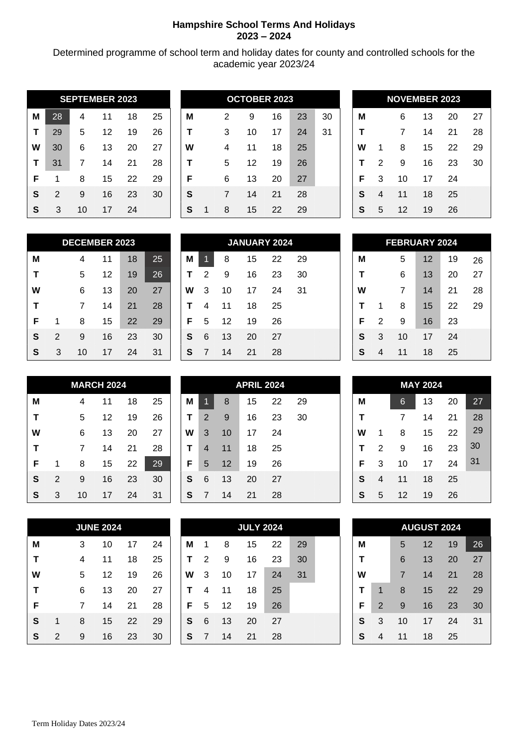## **Hampshire School Terms And Holidays 2023 – 2024**

Determined programme of school term and holiday dates for county and controlled schools for the academic year 2023/24

| <b>SEPTEMBER 2023</b> |                |    |    |    |    |  |  |  |  |  |  |  |
|-----------------------|----------------|----|----|----|----|--|--|--|--|--|--|--|
| M                     | 28             | 4  | 11 | 18 | 25 |  |  |  |  |  |  |  |
| T                     | 29             | 5  | 12 | 19 | 26 |  |  |  |  |  |  |  |
| W                     | 30             | 6  | 13 | 20 | 27 |  |  |  |  |  |  |  |
| т                     | 31             | 7  | 14 | 21 | 28 |  |  |  |  |  |  |  |
| F                     | 1              | 8  | 15 | 22 | 29 |  |  |  |  |  |  |  |
| S                     | $\mathfrak{p}$ | 9  | 16 | 23 | 30 |  |  |  |  |  |  |  |
| S                     | 3              | 10 | 17 | 24 |    |  |  |  |  |  |  |  |

|   |    |    | <b>SEPTEMBER 2023</b> |    |    |   |   | <b>OCTOBER 2023</b> |    |    |    |   |   |    | <b>NOVEMBER 2023</b> |    |    |
|---|----|----|-----------------------|----|----|---|---|---------------------|----|----|----|---|---|----|----------------------|----|----|
| М | 28 | 4  | 11                    | 18 | 25 | M | 2 | 9                   | 16 | 23 | 30 | M |   | 6  | 13                   | 20 | 27 |
| т | 29 | 5  | 12                    | 19 | 26 |   | 3 | 10                  | 17 | 24 | 31 |   |   |    | 14                   | 21 | 28 |
| W | 30 | 6  | 13                    | 20 | 27 | W | 4 | 11                  | 18 | 25 |    | W |   | 8  | 15                   | 22 | 29 |
| т | 31 |    | 14                    | 21 | 28 |   | 5 | 12                  | 19 | 26 |    |   | っ | 9  | 16                   | 23 | 30 |
| F |    | 8  | 15                    | 22 | 29 | F | 6 | 13                  | 20 | 27 |    | F | 3 | 10 | 17                   | 24 |    |
| S | 2  | 9  | 16                    | 23 | 30 | S | 7 | 14                  | 21 | 28 |    | S | 4 | 11 | 18                   | 25 |    |
| S | 3  | 10 | 17                    | 24 |    | S | 8 | 15                  | 22 | 29 |    | S | 5 | 12 | 19                   | 26 |    |

|   | <b>NOVEMBER 2023</b> |    |    |    |    |  |  |  |  |  |  |  |
|---|----------------------|----|----|----|----|--|--|--|--|--|--|--|
| Μ |                      | 6  | 13 | 20 | 27 |  |  |  |  |  |  |  |
| т |                      | 7  | 14 | 21 | 28 |  |  |  |  |  |  |  |
| w | 1                    | 8  | 15 | 22 | 29 |  |  |  |  |  |  |  |
| т | $\overline{2}$       | 9  | 16 | 23 | 30 |  |  |  |  |  |  |  |
| F | 3                    | 10 | 17 | 24 |    |  |  |  |  |  |  |  |
| S | 4                    | 11 | 18 | 25 |    |  |  |  |  |  |  |  |
| S | 5                    | 12 | 19 | 26 |    |  |  |  |  |  |  |  |

|   | <b>DECEMBER 2023</b> |    |    |    |    |  |  |  |  |  |  |  |  |
|---|----------------------|----|----|----|----|--|--|--|--|--|--|--|--|
| М |                      | 4  | 11 | 18 | 25 |  |  |  |  |  |  |  |  |
| т |                      | 5  | 12 | 19 | 26 |  |  |  |  |  |  |  |  |
| W |                      | 6  | 13 | 20 | 27 |  |  |  |  |  |  |  |  |
| т |                      | 7  | 14 | 21 | 28 |  |  |  |  |  |  |  |  |
| F | 1                    | 8  | 15 | 22 | 29 |  |  |  |  |  |  |  |  |
| S | $\overline{2}$       | 9  | 16 | 23 | 30 |  |  |  |  |  |  |  |  |
| S | 3                    | 10 | 17 | 24 | 31 |  |  |  |  |  |  |  |  |

|              |                  | <b>DECEMBER 2023</b> |    |    |    | <b>JANUARY 2024</b> |   |    |    |    |    |  |   | <b>FEBRUARY 2024</b> |    |    |    |    |
|--------------|------------------|----------------------|----|----|----|---------------------|---|----|----|----|----|--|---|----------------------|----|----|----|----|
| M            |                  | 4                    | 11 | 18 | 25 | M                   |   | 8  | 15 | 22 | 29 |  | M |                      | 5  | 12 | 19 | 26 |
| Т            |                  | 5                    | 12 | 19 | 26 |                     | 2 | 9  | 16 | 23 | 30 |  |   |                      | 6  | 13 | 20 | 27 |
| W            |                  | 6                    | 13 | 20 | 27 | W                   | 3 | 10 | 17 | 24 | 31 |  | W |                      | 7  | 14 | 21 | 28 |
| Т            |                  |                      | 14 | 21 | 28 |                     | 4 | 11 | 18 | 25 |    |  |   |                      | 8  | 15 | 22 | 29 |
| F            |                  | 8                    | 15 | 22 | 29 | F                   | 5 | 12 | 19 | 26 |    |  | F | 2                    | 9  | 16 | 23 |    |
| S            | $\boldsymbol{2}$ | 9                    | 16 | 23 | 30 | S                   | 6 | 13 | 20 | 27 |    |  | S | 3                    | 10 | 17 | 24 |    |
| $\mathbf{s}$ | 3                | 10                   | 17 | 24 | 31 | S                   |   | 14 | 21 | 28 |    |  | S | 4                    | 11 | 18 | 25 |    |

|   | <b>FEBRUARY 2024</b> |    |    |    |    |  |  |  |  |  |  |  |  |
|---|----------------------|----|----|----|----|--|--|--|--|--|--|--|--|
| Μ |                      | 5  | 12 | 19 | 26 |  |  |  |  |  |  |  |  |
| т |                      | 6  | 13 | 20 | 27 |  |  |  |  |  |  |  |  |
| w |                      | 7  | 14 | 21 | 28 |  |  |  |  |  |  |  |  |
| т | 1                    | 8  | 15 | 22 | 29 |  |  |  |  |  |  |  |  |
| F | 2                    | 9  | 16 | 23 |    |  |  |  |  |  |  |  |  |
| S | 3                    | 10 | 17 | 24 |    |  |  |  |  |  |  |  |  |
| S | 4                    | 11 | 18 | 25 |    |  |  |  |  |  |  |  |  |

|   | <b>MARCH 2024</b> |    |    |    |    |  |  |  |  |  |  |  |  |
|---|-------------------|----|----|----|----|--|--|--|--|--|--|--|--|
| Μ |                   | 4  | 11 | 18 | 25 |  |  |  |  |  |  |  |  |
| т |                   | 5  | 12 | 19 | 26 |  |  |  |  |  |  |  |  |
| W |                   | 6  | 13 | 20 | 27 |  |  |  |  |  |  |  |  |
| т |                   | 7  | 14 | 21 | 28 |  |  |  |  |  |  |  |  |
| F | 1                 | 8  | 15 | 22 | 29 |  |  |  |  |  |  |  |  |
| S | $\overline{2}$    | 9  | 16 | 23 | 30 |  |  |  |  |  |  |  |  |
| S | 3                 | 10 | 17 | 24 | 31 |  |  |  |  |  |  |  |  |

| <b>JUNE 2024</b> |   |   |    |    |    |  |  |  |  |  |  |
|------------------|---|---|----|----|----|--|--|--|--|--|--|
| Μ                |   | 3 | 10 | 17 | 24 |  |  |  |  |  |  |
| т                |   | 4 | 11 | 18 | 25 |  |  |  |  |  |  |
| W                |   | 5 | 12 | 19 | 26 |  |  |  |  |  |  |
| т                |   | 6 | 13 | 20 | 27 |  |  |  |  |  |  |
| F                |   | 7 | 14 | 21 | 28 |  |  |  |  |  |  |
| S                | 1 | 8 | 15 | 22 | 29 |  |  |  |  |  |  |
| S                | 2 | 9 | 16 | 23 | 30 |  |  |  |  |  |  |

|   | <b>MARCH 2024</b> |    |    |    |    |   |   |    | <b>APRIL 2024</b> |    |    |   |   |    | <b>MAY 2024</b> |    |    |
|---|-------------------|----|----|----|----|---|---|----|-------------------|----|----|---|---|----|-----------------|----|----|
| М |                   | 4  | 11 | 18 | 25 | М |   | 8  | 15                | 22 | 29 | M |   | 6  | 13              | 20 | 27 |
| Т |                   | 5  | 12 | 19 | 26 |   | 2 | 9  | 16                | 23 | 30 |   |   |    | 14              | 21 | 28 |
| W |                   | 6  | 13 | 20 | 27 | W | 3 | 10 | 17                | 24 |    | W |   | 8  | 15              | 22 | 29 |
| T |                   |    | 14 | 21 | 28 |   | 4 | 11 | 18                | 25 |    |   | 2 | 9  | 16              | 23 | 30 |
| F |                   | 8  | 15 | 22 | 29 | F | 5 | 12 | 19                | 26 |    | F | 3 | 10 | 17              | 24 | 31 |
| S | 2                 | 9  | 16 | 23 | 30 | S | 6 | 13 | 20                | 27 |    | S | 4 | 11 | 18              | 25 |    |
| S | 3                 | 10 | 17 | 24 | 31 | S |   | 14 | 21                | 28 |    | S | 5 | 12 | 19              | 26 |    |

|   |              |   | <b>JUNE 2024</b> |    |    | <b>JULY 2024</b> |   |    |    |    |    |  | <b>AUGUST 2024</b> |   |    |                   |    |    |
|---|--------------|---|------------------|----|----|------------------|---|----|----|----|----|--|--------------------|---|----|-------------------|----|----|
| M |              | 3 | 10               | 17 | 24 | М                |   | 8  | 15 | 22 | 29 |  | M                  |   | 5  | $12 \overline{ }$ | 19 | 26 |
| T |              | 4 | 11               | 18 | 25 |                  | 2 | 9  | 16 | 23 | 30 |  |                    |   | 6  | 13                | 20 | 27 |
| W |              | 5 | 12               | 19 | 26 | W                | 3 | 10 | 17 | 24 | 31 |  | W                  |   | 7  | 14                | 21 | 28 |
| Т |              | 6 | 13               | 20 | 27 |                  | 4 | 11 | 18 | 25 |    |  |                    |   | 8  | 15                | 22 | 29 |
| F |              | 7 | 14               | 21 | 28 | F                | 5 | 12 | 19 | 26 |    |  | F                  | 2 | 9  | 16                | 23 | 30 |
| S | 1            | 8 | 15               | 22 | 29 | S                | 6 | 13 | 20 | 27 |    |  | S                  | 3 | 10 | 17                | 24 | 31 |
| S | $\mathbf{2}$ | 9 | 16               | 23 | 30 | S                |   | 14 | 21 | 28 |    |  | S                  | 4 | 11 | 18                | 25 |    |

| <b>MAY 2024</b> |                |    |    |    |    |  |  |  |  |  |  |
|-----------------|----------------|----|----|----|----|--|--|--|--|--|--|
| Μ               |                | 6  | 13 | 20 | 27 |  |  |  |  |  |  |
| т               |                | 7  | 14 | 21 | 28 |  |  |  |  |  |  |
| W               | 1              | 8  | 15 | 22 | 29 |  |  |  |  |  |  |
| т               | $\mathfrak{p}$ | 9  | 16 | 23 | 30 |  |  |  |  |  |  |
| F               | 3              | 10 | 17 | 24 | 31 |  |  |  |  |  |  |
| S               | 4              | 11 | 18 | 25 |    |  |  |  |  |  |  |
| S               | 5              | 12 | 19 | 26 |    |  |  |  |  |  |  |

|   |                |    | <b>AUGUST 2024</b> |    |    |
|---|----------------|----|--------------------|----|----|
| М |                | 5  | 12                 | 19 | 26 |
| т |                | 6  | 13                 | 20 | 27 |
| w |                | 7  | 14                 | 21 | 28 |
| т | 1              | 8  | 15                 | 22 | 29 |
| F | $\overline{2}$ | 9  | 16                 | 23 | 30 |
| S | 3              | 10 | 17                 | 24 | 31 |
| S | 4              | 11 | 18                 | 25 |    |